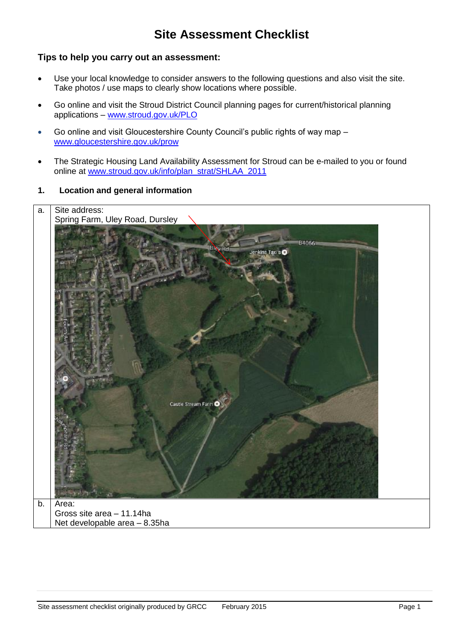# **Site Assessment Checklist**

#### **Tips to help you carry out an assessment:**

- Use your local knowledge to consider answers to the following questions and also visit the site. Take photos / use maps to clearly show locations where possible.
- Go online and visit the Stroud District Council planning pages for current/historical planning applications – [www.stroud.gov.uk/PLO](http://www.stroud.gov.uk/PLO)
- Go online and visit Gloucestershire County Council's public rights of way map [www.gloucestershire.gov.uk/prow](http://www.gloucestershire.gov.uk/prow)
- The Strategic Housing Land Availability Assessment for Stroud can be e-mailed to you or found online at [www.stroud.gov.uk/info/plan\\_strat/SHLAA\\_2011](http://www.stroud.gov.uk/info/plan_strat/SHLAA_2011)
- **1. Location and general information**

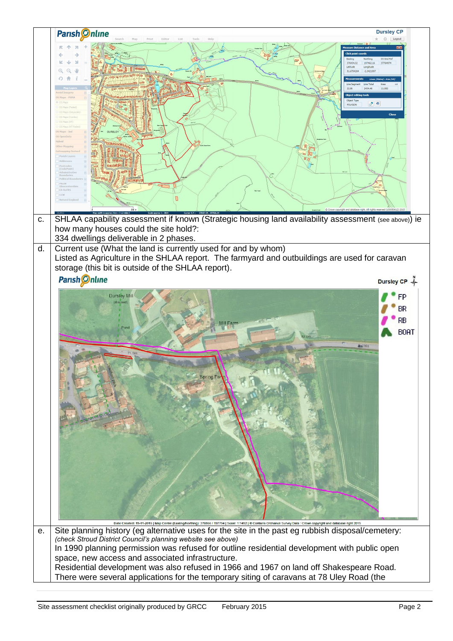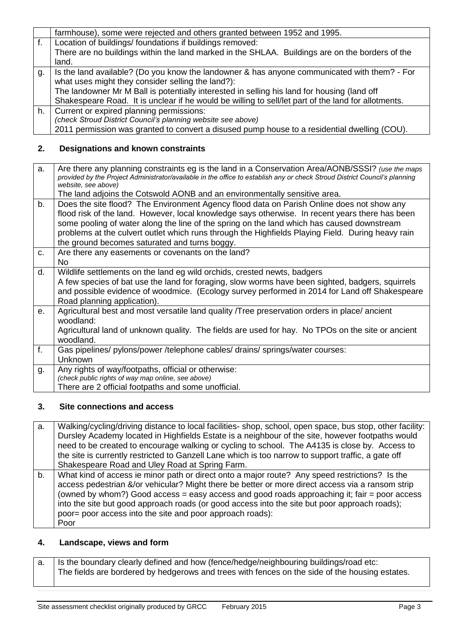|    | farmhouse), some were rejected and others granted between 1952 and 1995.                            |
|----|-----------------------------------------------------------------------------------------------------|
| f. | Location of buildings/ foundations if buildings removed:                                            |
|    | There are no buildings within the land marked in the SHLAA. Buildings are on the borders of the     |
|    | land.                                                                                               |
| g. | Is the land available? (Do you know the landowner & has anyone communicated with them? - For        |
|    | what uses might they consider selling the land?):                                                   |
|    | The landowner Mr M Ball is potentially interested in selling his land for housing (land off         |
|    | Shakespeare Road. It is unclear if he would be willing to sell/let part of the land for allotments. |
| h. | Current or expired planning permissions:                                                            |
|    | (check Stroud District Council's planning website see above)                                        |
|    | 2011 permission was granted to convert a disused pump house to a residential dwelling (COU).        |

## **2. Designations and known constraints**

| a.             | Are there any planning constraints eg is the land in a Conservation Area/AONB/SSSI? (use the maps<br>provided by the Project Administrator/available in the office to establish any or check Stroud District Council's planning<br>website, see above)<br>The land adjoins the Cotswold AONB and an environmentally sensitive area.                                                                                                              |
|----------------|--------------------------------------------------------------------------------------------------------------------------------------------------------------------------------------------------------------------------------------------------------------------------------------------------------------------------------------------------------------------------------------------------------------------------------------------------|
| b.             | Does the site flood? The Environment Agency flood data on Parish Online does not show any<br>flood risk of the land. However, local knowledge says otherwise. In recent years there has been<br>some pooling of water along the line of the spring on the land which has caused downstream<br>problems at the culvert outlet which runs through the Highfields Playing Field. During heavy rain<br>the ground becomes saturated and turns boggy. |
| C.             | Are there any easements or covenants on the land?<br>No.                                                                                                                                                                                                                                                                                                                                                                                         |
| d.             | Wildlife settlements on the land eg wild orchids, crested newts, badgers<br>A few species of bat use the land for foraging, slow worms have been sighted, badgers, squirrels<br>and possible evidence of woodmice. (Ecology survey performed in 2014 for Land off Shakespeare<br>Road planning application).                                                                                                                                     |
| $\mathbf{e}$ . | Agricultural best and most versatile land quality /Tree preservation orders in place/ ancient<br>woodland:<br>Agricultural land of unknown quality. The fields are used for hay. No TPOs on the site or ancient<br>woodland.                                                                                                                                                                                                                     |
| $f_{\cdot}$    | Gas pipelines/ pylons/power /telephone cables/ drains/ springs/water courses:<br>Unknown                                                                                                                                                                                                                                                                                                                                                         |
| g.             | Any rights of way/footpaths, official or otherwise:<br>(check public rights of way map online, see above)<br>There are 2 official footpaths and some unofficial.                                                                                                                                                                                                                                                                                 |

#### **3. Site connections and access**

| а. | Walking/cycling/driving distance to local facilities- shop, school, open space, bus stop, other facility:<br>Dursley Academy located in Highfields Estate is a neighbour of the site, however footpaths would<br>need to be created to encourage walking or cycling to school. The A4135 is close by. Access to<br>the site is currently restricted to Ganzell Lane which is too narrow to support traffic, a gate off<br>Shakespeare Road and Uley Road at Spring Farm. |
|----|--------------------------------------------------------------------------------------------------------------------------------------------------------------------------------------------------------------------------------------------------------------------------------------------------------------------------------------------------------------------------------------------------------------------------------------------------------------------------|
| b. | What kind of access ie minor path or direct onto a major route? Any speed restrictions? Is the<br>access pedestrian &/or vehicular? Might there be better or more direct access via a ransom strip<br>(owned by whom?) Good access = easy access and good roads approaching it; fair = poor access<br>into the site but good approach roads (or good access into the site but poor approach roads);<br>poor= poor access into the site and poor approach roads):<br>Poor |

# **4. Landscape, views and form**

| a.   Is the boundary clearly defined and how (fence/hedge/neighbouring buildings/road etc:     |
|------------------------------------------------------------------------------------------------|
| The fields are bordered by hedgerows and trees with fences on the side of the housing estates. |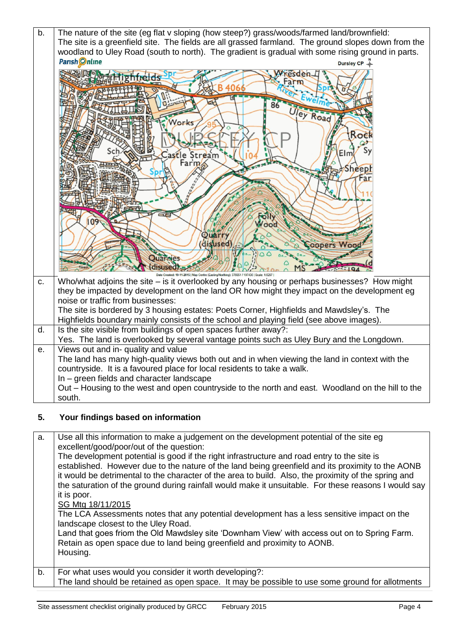

### **5. Your findings based on information**

a. Use all this information to make a judgement on the development potential of the site eg excellent/good/poor/out of the question: The development potential is good if the right infrastructure and road entry to the site is established. However due to the nature of the land being greenfield and its proximity to the AONB it would be detrimental to the character of the area to build. Also, the proximity of the spring and the saturation of the ground during rainfall would make it unsuitable. For these reasons I would say it is poor. SG Mtg 18/11/2015 The LCA Assessments notes that any potential development has a less sensitive impact on the landscape closest to the Uley Road. Land that goes friom the Old Mawdsley site 'Downham View' with access out on to Spring Farm. Retain as open space due to land being greenfield and proximity to AONB. Housing. b. For what uses would you consider it worth developing?: The land should be retained as open space. It may be possible to use some ground for allotments